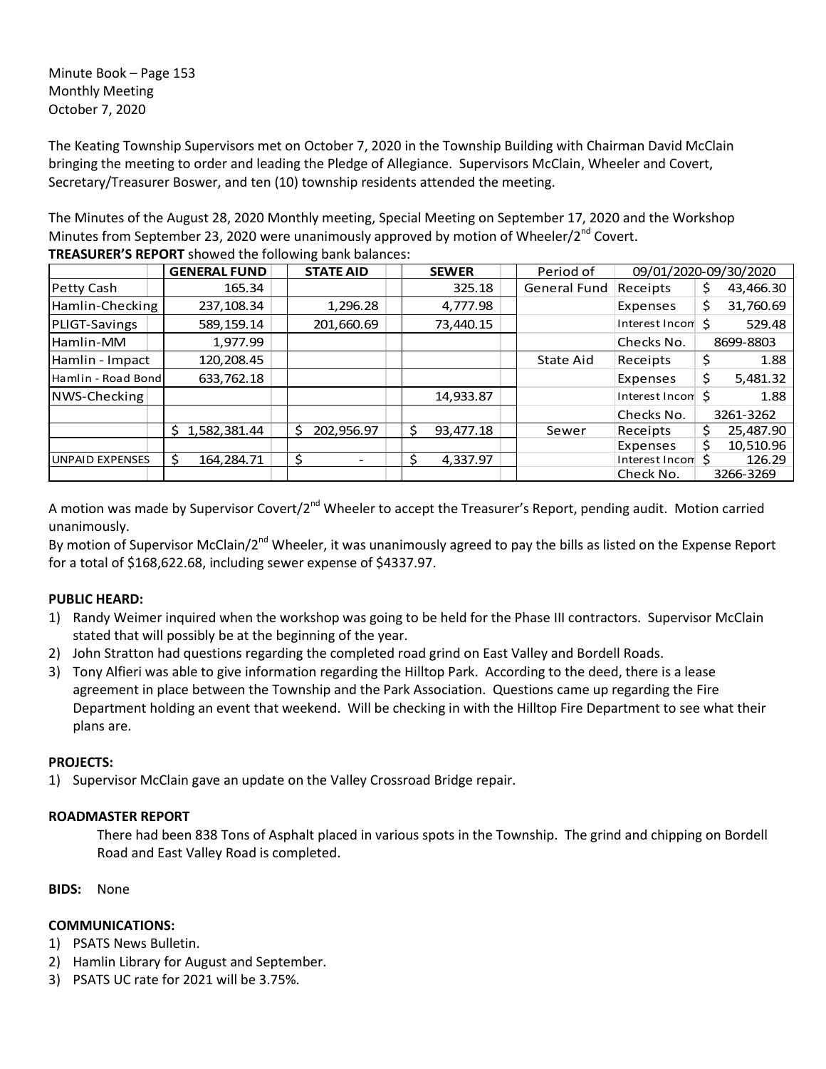Minute Book – Page 153 Monthly Meeting October 7, 2020

The Keating Township Supervisors met on October 7, 2020 in the Township Building with Chairman David McClain bringing the meeting to order and leading the Pledge of Allegiance. Supervisors McClain, Wheeler and Covert, Secretary/Treasurer Boswer, and ten (10) township residents attended the meeting.

The Minutes of the August 28, 2020 Monthly meeting, Special Meeting on September 17, 2020 and the Workshop Minutes from September 23, 2020 were unanimously approved by motion of Wheeler/ $2^{nd}$  Covert. **TREASURER'S REPORT** showed the following bank balances:

|                        | <b>GENERAL FUND</b> | <b>STATE AID</b> | <b>SEWER</b>    | Period of           | 09/01/2020-09/30/2020       |                 |
|------------------------|---------------------|------------------|-----------------|---------------------|-----------------------------|-----------------|
| Petty Cash             | 165.34              |                  | 325.18          | <b>General Fund</b> | Receipts                    | 43,466.30<br>Ş  |
| Hamlin-Checking        | 237,108.34          | 1,296.28         | 4,777.98        |                     | Expenses                    | 31,760.69<br>\$ |
| PLIGT-Savings          | 589,159.14          | 201,660.69       | 73,440.15       |                     | Interest Incom <sup>5</sup> | 529.48          |
| Hamlin-MM              | 1,977.99            |                  |                 |                     | Checks No.                  | 8699-8803       |
| Hamlin - Impact        | 120,208.45          |                  |                 | State Aid           | Receipts                    | \$<br>1.88      |
| Hamlin - Road Bond     | 633,762.18          |                  |                 |                     | Expenses                    | \$<br>5,481.32  |
| NWS-Checking           |                     |                  | 14,933.87       |                     | Interest Incom S            | 1.88            |
|                        |                     |                  |                 |                     | Checks No.                  | 3261-3262       |
|                        | 1,582,381.44<br>S.  | 202,956.97<br>S. | Ŝ.<br>93,477.18 | Sewer               | Receipts                    | 25,487.90       |
|                        |                     |                  |                 |                     | Expenses                    | 10,510.96<br>s  |
| <b>UNPAID EXPENSES</b> | 164,284.71          | \$               | \$.<br>4,337.97 |                     | Interest Incom              | 126.29          |
|                        |                     |                  |                 |                     | Check No.                   | 3266-3269       |

A motion was made by Supervisor Covert/2<sup>nd</sup> Wheeler to accept the Treasurer's Report, pending audit. Motion carried unanimously.

By motion of Supervisor McClain/2<sup>nd</sup> Wheeler, it was unanimously agreed to pay the bills as listed on the Expense Report for a total of \$168,622.68, including sewer expense of \$4337.97.

# **PUBLIC HEARD:**

- 1) Randy Weimer inquired when the workshop was going to be held for the Phase III contractors. Supervisor McClain stated that will possibly be at the beginning of the year.
- 2) John Stratton had questions regarding the completed road grind on East Valley and Bordell Roads.
- 3) Tony Alfieri was able to give information regarding the Hilltop Park. According to the deed, there is a lease agreement in place between the Township and the Park Association. Questions came up regarding the Fire Department holding an event that weekend. Will be checking in with the Hilltop Fire Department to see what their plans are.

### **PROJECTS:**

1) Supervisor McClain gave an update on the Valley Crossroad Bridge repair.

### **ROADMASTER REPORT**

There had been 838 Tons of Asphalt placed in various spots in the Township. The grind and chipping on Bordell Road and East Valley Road is completed.

**BIDS:** None

### **COMMUNICATIONS:**

- 1) PSATS News Bulletin.
- 2) Hamlin Library for August and September.
- 3) PSATS UC rate for 2021 will be 3.75%.